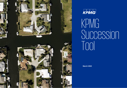



# KPMG Succession Tool

**March 2022**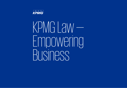

KPMG LAW — Empowering Business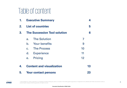# Table of content

| 1. | <b>Executive Summary</b><br><b>List of countries</b> |                      |    |   |
|----|------------------------------------------------------|----------------------|----|---|
| 2. |                                                      |                      |    | 5 |
| 3. | <b>The Succession Tool solution</b>                  |                      |    | 6 |
|    | a <sub>1</sub>                                       | <b>The Solution</b>  | 7  |   |
|    | $\mathbf{b}$ .                                       | <b>Your benefits</b> | 9  |   |
|    | $C_{\cdot}$                                          | <b>The Process</b>   | 10 |   |
|    | d.                                                   | <b>Experience</b>    | 11 |   |
|    | e. <b>A</b>                                          | Pricing              | 12 |   |
| 4. | <b>Content and visualization</b>                     |                      | 13 |   |
| 5. | <b>Your contact persons</b>                          |                      | 23 |   |

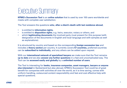## Executive Summary

**KPMG's Succession Tool** is an **online solution** that is used by over 100 users worldwide and meets with complete user satisfaction.

The Tool answers the questions **who**, **after a client's death with last residence abroad**,

- is entitled to **information rights**,
- is entitled to **disposition rights**, e.g. heirs, executor, notary or others, and
- which **legitimating documents** the involved party must present for this purpose (with designation of the documents in English and local language and with samples as well as explanations).

It is structured by country and based on the corresponding **foreign succession law** and includes a **theory section** per country. It currently covers **57 countries,** preferred countries can be **subscribed to individually**, and any others can be added upon request.

With our **international network of specialized lawyers** we make sure that the Tool remains **up to date** and we also **answer any further questions** in a fast and uncomplicated way. The Tool can be **accessed easily and globally** by a **unlimited number of users**.

The Tool is interesting for **banks, insurance companies, asset managers, lawyers or anyone else interested** in Switzerland but also abroad. KPMG's Succession Tool could be of great benefit for companies with activities all over the world, as it is time saving, comes with uniform handling, outsourced content responsibility and fast and cost effective help with special questions.

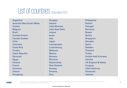### List of countries (Status March 2022)

Argentina Australia New South Wales Austria Belgium Brazil Canada Ontario Canada Quebec Chile Colombia Costa Rica **Croatia** Czech Republic Denmark Egypt Finland **France** Germany **Greece** 

Hungary Iceland India Mumbai India New Delhi Ireland Israel Italy Japan Liechtenstein Luxembourg Malaysia **Mexico** Monaco **Morocco Netherlands** New Zealand **Norway** Panama Peru

**Philippines** Poland Portugal Romania Russia **Serbia Singapore** Slovakia Spain Sweden Thailand **Turkey** United Arab Emirates Ukraine UK England & Wales **Uruguay** USA California Venezuela Vietnam



Hongkong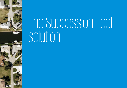# The Succession Tool solution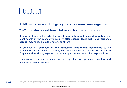### The Solution

### **KPMG's Succession Tool gets your succession cases organized**

The Tool consists in a **web-based platform** and is structured by country.

It answers the question who has which **information and disposition rights** over local assets in the respective country **after client's death with last residence abroad**, e.g. heirs, executor, notary or others.

It provides an **overview of the necessary legitimating documents** to be presented by the involved parties, with the designation of the documents in English and local language and linked samples as well as further explanations.

Each country manual is based on the respective **foreign succession law** and includes a **theory section**.

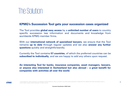### The Solution

### **KPMG's Succession Tool gets your succession cases organized**

The Tool provides **global easy access** by a **unlimited number of users** to country specific succession law information and documents and knowledge from worldwide KPMG member firms.

With our **international network of specialized lawyers**, we ensure that the Tool remains **up to date** through regular updates and we also **answer any further questions** quickly and straightforwardly.

Currently the Tool contains **57 countries**, of which the preferred countries can be **subscribed to individually**, and we are happy to add any others upon request.

**An interesting Tool for banks, insurance companies, asset managers, lawyers, or anyone else interested in Switzerland but also abroad – a great benefit for companies with activities all over the world.**

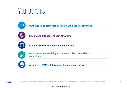## Your benefits



**Outsourced content responsibility and cost effectiveness**



**Simple and transparent cost structure**



**Standardized format across all countries** 



**Global easy accessibility to the subscribed countries of your choice**



**Access to KPMG's international succession network**

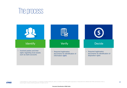### The process

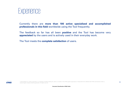

Currently there are **more than 100 active specialized and accomplished professionals in this field** worldwide using the Tool frequently.

The feedback so far has all been **positive** and the Tool has become very **appreciated** by the users and is actively used in their everyday work.

The Tool meets the **complete satisfaction** of users.

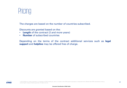### Pricing

The charges are based on the number of countries subscribed.

Discounts are granted based on the:

- **Length** of the contract (2 and more years)
- **Number** of subscribed countries

Depending on the terms of the contract additional services such as **legal support** and **helpline** may be offered free of charge.

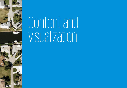

# Content and visualization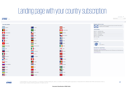## Landing page with your country subscription



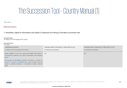## The Succession Tool –Country Manual (1)

#### Slovakia

#### NOTES (see section 4)

#### 1. Hereditary rights to information and rights of disposal according to Slovakia succession law

#### **Involved parties**

(in English and in the language of the country)

#### **Deceased person**

("Poručitel")

| Legitimating documents                                                                                                                                                                                                | Hereditary rights of information re Swiss bank account | Hereditary rights of disposition re Swiss bank account |
|-----------------------------------------------------------------------------------------------------------------------------------------------------------------------------------------------------------------------|--------------------------------------------------------|--------------------------------------------------------|
| (in English and in the language of the country)                                                                                                                                                                       | (if needed with explanation)                           | (if needed with explanation)                           |
| Death certificate ("Úmrtný list") issued by the Registry office based on<br>the information contained in the Letter of examination of the deceased<br>person.                                                         | N/A                                                    | N/A                                                    |
| The Decision on declaration of death ("Rozhodnutie o vyhlásení za<br>mitveho") is issued by a competent court, where the death cannot be<br>proven by standard procedure or circumstances indicate presumed<br>death. |                                                        |                                                        |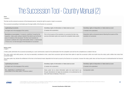## The Succession Tool –Country Manual (2)

#### **Heirs**

("Dedičia")

The heirs are the universal successors of the deceased person, having the right to acquire or reject a succession.

The succession proceeding is terminated upon the legal validity of the Decision on succession.

| Legitimating documents                                                                                                                                                                                                                                                                                                                                                    | Hereditary rights of information re Swiss bank account                                                                                       | Hereditary rights of disposition re Swiss bank account                                           |
|---------------------------------------------------------------------------------------------------------------------------------------------------------------------------------------------------------------------------------------------------------------------------------------------------------------------------------------------------------------------------|----------------------------------------------------------------------------------------------------------------------------------------------|--------------------------------------------------------------------------------------------------|
| (in English and in the language of the country)                                                                                                                                                                                                                                                                                                                           | (if needed with explanation)                                                                                                                 | (if needed with explanation)                                                                     |
| Resolution on succession ("Uznesenie o dedičstve") issued by the<br>respective notary public acting on behalf of the district court at the last<br>place of residence of the deceased. The final Court resolution on<br>succession is attested with a legal enforceability stamp i.e. electronically<br>("Právna moc") on the front page of the Resolution on succession. | Prior to the issuance of the resolution on succession the heirs may<br>exercise information rights only towards the competent notary public. | Disposition rights as deceased person following the issuance of the<br>resolution on succession. |

#### Notary public

#### ("Notár")

A notary public administers the succession proceeding as a court commissioner, based on the authorization from the competent court and has the competencies as stated in the law.

The notary public shall notify persons, who may be reasonably considered as heirs, about their succession right and about their option to reject the succession (within one month since the notary public notifies heirs about succession right).

The notary public may declare the entitlement of the heirs to the financial means deposited into the bank account by the Decision on succession, however the notary public does not have the power to distribute/transfer the means.

| Legitimating documents                                                                               | Hereditary rights of information re Swiss bank account                                                                                                                                        | Hereditary rights of disposition re Swiss bank account |
|------------------------------------------------------------------------------------------------------|-----------------------------------------------------------------------------------------------------------------------------------------------------------------------------------------------|--------------------------------------------------------|
| (in English and in the language of the country)                                                      | (if needed with explanation)                                                                                                                                                                  | (if needed with explanation)                           |
| N/A - legitimation is constituted by law.<br>Authorization of the notary public ("Poverenie notára") | Notary public hat no direct information rights but would need to go<br>through international civil legal aid procedures or be authorized by the<br>heirs with Power of Attorney ("Plná moc"). | No disposition rights.                                 |

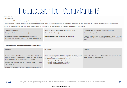### The Succession Tool –Country Manual (3)

#### Administrator

("Správca dedičstva")

An administrator of the succession is a party to the succession proceeding.

The administrator of succession may be an heir, close person to the deceased person, a notary public (other than the notary public appointed by the court to administer the succession proceeding) and the Slovak Republic.

With respect to the appointment of an administrator of the succession, actions regarding the administration of the succession, remuneration of the administrator.

| Legitimating documents                                                                                                              | Hereditary rights of information re Swiss bank account        | Hereditary rights of disposition re Swiss bank account                                                                                                        |
|-------------------------------------------------------------------------------------------------------------------------------------|---------------------------------------------------------------|---------------------------------------------------------------------------------------------------------------------------------------------------------------|
| (in English and in the language of the country)                                                                                     | (if needed with explanation)                                  | (if needed with explanation)                                                                                                                                  |
| Appointment resolution of the administrator ("Uznesenie o<br>ustanovení správcu dedičstva") issued by the respective notary public. | No direct information rights, only towards the notary public. | Disposition powers only to the extent required to preserve and secure<br>the estate unless there is a specific authorization granted by the notary<br>public. |

#### 2. Identification documents of parties involved

| Individuals:                                                                                                                                                                                                                                                                                             | Corporates:                                                                                                                                                                                                                                                                                                                                         | Authority:                                                                                                         |
|----------------------------------------------------------------------------------------------------------------------------------------------------------------------------------------------------------------------------------------------------------------------------------------------------------|-----------------------------------------------------------------------------------------------------------------------------------------------------------------------------------------------------------------------------------------------------------------------------------------------------------------------------------------------------|--------------------------------------------------------------------------------------------------------------------|
|                                                                                                                                                                                                                                                                                                          |                                                                                                                                                                                                                                                                                                                                                     |                                                                                                                    |
| Deceased person: The letter of examination of the dead ("List o<br>prehliadke mitveho"); Death certificate ("Úmrtný list"); The Decision on<br>declaration of death ("Rozhodnutie o vyhlásení za mŕtveho").<br>Heirs and other individuals: ID card ("Občiansky preukaz"); Passport<br>("Cestovný pas"). | Excerpt from the respective Commercial Register of the District Court or<br>any other equivalent excerpt from a specific register for entities not<br>registered with the Commercial Register, such as:<br>• Excerpt from Register of foundations:<br>• Excerpt from Register of civil associations:<br>• Excerpt from other respective registries. | State - N/A: District court – N/A: Notary public - The appointment of the<br>notary public by the competent court. |
| Spouse of the deceased person: Marriage certificate ("Sobášny list").                                                                                                                                                                                                                                    |                                                                                                                                                                                                                                                                                                                                                     |                                                                                                                    |

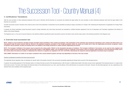### The Succession Tool –Country Manual (4)

#### 3. Certifications/ Translations

After the court secretary or other authorized employee of the court is informed, that the Decision on succession has entered into legal validity, the court secretary or other authorized employee shall mark the legal validi Decision on succession:

All public documents issued in Slovakia which shall be used in front of the authorities in Switzerland must be apostilled according to Haque Convention of 5 October 1961 Abolishing the Requirement of Legalization for Forei Documents:

In general, the Slovak authorities accept documents issued by foreign authorities only when these documents are translated by certified translator registered in the List of Interpreters and Translators registered at the Mi Interior of the Slovak Republic.

The Regional court (i.e. the court of second instance) is the authority entitled to apostille the public documents issued by the district courts and the notary public in the territorial jurisdiction of the Regional court.

#### 4. Overview local succession law

NOTE: Subject to local jurisdiction Slovakia includes moveable assets worldwide in their probate proceedings. If the examination of the individual case should give indications to the contrary and where there is no international treaty the party involved shall be referred to the (judicial) recognition procedure of the foreign jurisdiction where the assets are located and to have the legitimating documents recognized. Unless recognition may be granted, ancillary proceeding need to be initiated in the foreign jurisdiction to obtain domestic legitimating documents.

NOTE: The European Certificate of Succession may be issued by the notary public ("Notár") at the deceased's last place of residence. The European Certificate of Succession can be used by heirs, legatees and executors of wills to prove their status and to exercise their powers in other Member States. The recognition of the EU Certificate of Succession in Non-EU member states depends on the International Private Law of the country where the assets are located. In Switzerland the criteria for recognition are regulated in Art. 25 ff / 96 ff IPRG. Alternatively the respective national legitimation documents may be requested.

DISCLAIMER: Information on Conflict of Law topics contained in this country manual is generic and may vary depending on the facts of the case at hand.

#### General considerations regarding the foreign bank accounts

The applicable Slovak legislation does not stipulate any specific rights of the parties involved in the succession proceeding regarding the foreign bank accounts of the deceased person.

In general, the prevailing approach of the Slovakian banks is to freeze the bank account of the deceased person, after the bank is notified about death of the bank account owner (applicable if the deceased person is a sing of the bank account). The banks shall release the financial means to the authorized person (e.g. heir), upon the delivery of the valid Decision on succession to the bank. However, the described approach can vary, depending General Terms and Conditions of the respective bank.

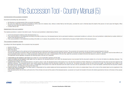### The Succession Tool –Country Manual (5)

#### Commencement of the succession proceeding

Succession proceeding may start based on:

- . the Decision on commencement of the succession proceeding
- . the court may initiate the succession proceeding ex-officio (due to its statutory duty without a motion filed by the third party) provided the court is informed about the death of the person (in most cases the Registry O informs the court about the death of the person), or
- a motion filed by heir.

#### Establishment of the court iurisdiction

The material jurisdiction is vested in the district courts. The local court jurisdiction is determined as follows:

- by the last permanent residence of the deceased person, or
- if the court jurisdiction is not established according to the letter a) above (e.g. the deceased person had no permanent residence or permanent residence is unknown), the court jurisdiction is determined by location (dis assets of the deceased person, or
- if the court jurisdiction is not established according to the letter a) or b) above, the jurisdiction of the court is determined by the place of death (district) of the deceased person.

#### The succession proceeding overview

According to the Slovak legislation, the succession may be acquired:

- based on the law.
- . based on a last will, or
- both of the above.

The succession based on the valid last will of the deceased person shall prevail over the succession based on the law. The succession not covered by the last will shall be acquired based on the law. The heir may reject the succession within one month from the day when the court notified the heir about the right to reject the succession and on the consequences of such rejection. The rejection must be done either by an oral proclamation before court or by a written proclamation addressed to the court. A representative of the heir may reject the succession on behalf of the heir only based on a power of attorney. The applicable Slovak legislation recognizes the following types of the last will / testament:

- . A will written by the testator's own hand must contain his or her handwritten signature and the date.
- A will not written by the testator's own hand must be signed by the deceased person's own hand; the deceased person must proclaim that the document contains his or her last will before two attending witnesses. The witnesses must sign the will as well.
- A special form of will, if the deceased person is not able to read or write, the deceased person shall express his or her last will in presence of three witnesses in a document that must be read out loud and signed by th attending witnesses. The deceased person must confirm before the witnesses that the document contains his or her last will. The person who draw up the will must not be the reader. The document must contain (i) the information that the testator cannot read or write, (ii) identification of the person who wrote the document and who read it out loud, and (iii) specification of the way in which the testator confirmed that the document co his or her true will. The witnesses must sign the will as well.
- . A will in the form of notary deed. The notary public is responsible for the content-related and formal requirements of the last will in a form of a notarial deed. Every will in a form of the notarial deed must be registe Central Notary Register of Wills.

If the deceased person did not draw up the last will or if the will does not cover all the assets of the deceased person, succession (or its part not included in the last will) shall be governed by the law on the basis of of heirs:

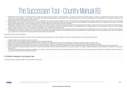### The Succession Tool –Country Manual (6)

- First group: In the first group, the deceased person's children and spouse are the successors in equal proportions. If a child does not inherit, that child's share on succession is distributed to this child's children in shares. If even those children, or any of them, do not inherit, then their descendants inherit in equal shares. If the deceased person has not left any descendants or his descendants do not inherit the succession, the successors of second group should inherit the succession.
- Second group: Unless the deceased person's heirs are his descendants, the succession shall be acquired by heirs in the second group: the deceased person's spouse, parents and those who had lived with the deceased person at least one vear before his or her death in a common household and for this reason took care for the common household or were dependent on the deceased person due to maintenance. The heirs of the second group shall inherit equal shares: however, the deceased person's spouse shall always inherit at least a half of the succession.
- Third group: If neither the spouse nor any of the parents are heirs, the succession shall be acquired in the third group equally by the deceased person's brother or sister and by those who had lived with the deceased per at least one year before his or her death in a common household and for this reason took care for the common household or were dependent on the deceased person due to maintenance. Unless any of the deceased person's brothers or sisters is heir, his or her share shall be acquired by his or her children in the same share.
- . Fourth group: Unless there are no heirs in the third succession group, the succession shall be acquired in the fourth group equally by the deceased person's grandparents and, if none of them is heir, equally by their chi In the both cases of succession (based on law or will), the minor descendants must acquire at least the share stipulated by law; adult descendants must acquire at least a half of their statutory share. If the will violates rule, it shall be null and void in this part unless the aforesaid descendants were disinherited.

#### Termination of the succession proceeding

At the end of the succession proceeding, the notary public as the authorized court commissioner, issues a resolution on succession. By the resolution on succession the notary public:

- . confirms that the sole heir receives the whole succession:
- . confirms that the succession that no heir has acquired has been devolved to the state:
- approves the succession settlement agreement between heirs; the creditor of the deceased person is party to the agreement, provided the agreement settles the creditor's claim:
- . approves an agreement concluded between the heirs and the deceased person's creditors on ceding the excessively indebted succession for payment of the deceased person's debts.
- . confirms the acquisition of the succession according to heirs' succession shares, if the heirs do not reach the agreement; or makes a settlement between heirs and decides on dividing of the succession between heirs;
- does not approve the agreement between heirs and (i) confirms the acquisition of the succession according to the succession shares or (ii) makes a settlement between heirs and decides on dividing of the succession between heirs.

The heirs have the right to appeal against the resolution on succession. In that case, the notary public shall submit appeal to the District court. The succession proceeding is deemed to be terminated, when the resolution succession issued by the notary public enters into force.

#### 5. Outlook changes in succession law

There are currently no planned changes in the area of the succession law.

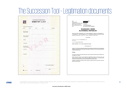### The Succession Tool – Legitimation documents

|                                                    | ÚMRTNÝ LIST |         | Č.                          |
|----------------------------------------------------|-------------|---------|-----------------------------|
| V knihe úmrtí matričného úradu<br>zvázok<br>ročník | strana      | por. č. | je zapisané:                |
| Deň, mesiac, rok<br>a miesto úmrtia                |             |         |                             |
| Meno a priezvisko,<br>rodné priezvisko             |             |         |                             |
| Pohlavie                                           |             |         |                             |
| Trvalý pobyt                                       |             |         |                             |
| Deň, mesiac, rok<br>a miesto narodenia             |             |         |                             |
| rodné číslo                                        |             |         |                             |
| Poznámky                                           |             |         |                             |
|                                                    |             |         |                             |
|                                                    |             |         |                             |
| v                                                  |             |         | meno a priezvisko matrikára |
| dňa                                                |             |         |                             |
|                                                    |             |         | podpis                      |

| Súd:                                                        | Okresný súd Prešov                                                                                                                                                                                                                                                                 |
|-------------------------------------------------------------|------------------------------------------------------------------------------------------------------------------------------------------------------------------------------------------------------------------------------------------------------------------------------------|
| Spisová značka:                                             |                                                                                                                                                                                                                                                                                    |
| Identifikačné číslo súdneho spisu: 8116226582               |                                                                                                                                                                                                                                                                                    |
| Dátum vydania rozhodnutia:                                  | 17.09.2018                                                                                                                                                                                                                                                                         |
| Meno a priezvisko sudcu. VSÚ:                               | JUDr. Zuzana Biščáková                                                                                                                                                                                                                                                             |
| ECLI:                                                       | ECLI:SK:OSPO:2018:8116226582.3                                                                                                                                                                                                                                                     |
|                                                             | <b>ROZSUDOK V MENE</b>                                                                                                                                                                                                                                                             |
|                                                             | <b>SLOVENSKEJ REPUBLIKY</b>                                                                                                                                                                                                                                                        |
|                                                             | Okresný súd Prešov samosudkyňou JUDr. Zuzanou Biščákovou v právnej veci navrhovateľa R. F.,<br>O., XX.X.XXXX, V. L. XXX, proti odporcovi V. F., O., XX.X.XXXX, toho času na neznámom mieste,<br>zastúpeného opatrovníkom v konaní D. L. v konaní o vyhlásenie za mŕtveho, takto    |
|                                                             | rozhodol:                                                                                                                                                                                                                                                                          |
| Vyhlasuje V.F., O XX.XX.XXXX X.L.za<br>mitveho.             |                                                                                                                                                                                                                                                                                    |
| Určuje deň smrti XX.XX.XXXX.                                |                                                                                                                                                                                                                                                                                    |
| Žiaden z účastníkov, n e m á nárok na náhradu trov konania. |                                                                                                                                                                                                                                                                                    |
|                                                             | odôvodnenie:                                                                                                                                                                                                                                                                       |
| to ustanovuje tento zákon.                                  | Podľa § 221 CSP písomné vyhotovenie rozsudku nemusí obsahovať odôvodnenie, ak je na pojednávaní<br>vyhlásený rozsudok za prítomnosti všetkých strán alebo ich zástupcov, ktorí sa vzdajú odvolania alebo                                                                           |
| Poučenie:                                                   |                                                                                                                                                                                                                                                                                    |
| na Kraiský súd v Prešove.                                   | Proti tomuto rozsudku možno podať odvolanie do 15 dní odo dňa jeho doručenia cestou tunajšieho súdu                                                                                                                                                                                |
|                                                             | Podľa § 363 CSP v odvolaní sa popri všeobecných náležitostiach podania (§ 127 CSP) uvedie, proti<br>ktorému rozhodnutiu smeruje, v akom rozsahu sa napáda, z akých dôvodov sa rozhodnutie považuje<br>za nesprávne (odvolacie dôvody) a čoho sa odvolateľ domáha (odvolací návrh). |
| podanie by bolo neúčinné.                                   | Vzhľadom na skutočnosť, že účastníci konania sa práva na podanie opravného prostriedku vzdali, jeho                                                                                                                                                                                |
|                                                             |                                                                                                                                                                                                                                                                                    |
|                                                             |                                                                                                                                                                                                                                                                                    |

**KPMG**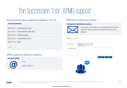# The Succession Tool –KPMG support

#### Announcements about updates and changes in the Tool.

| <b>Announcements</b>                  |
|---------------------------------------|
| 2022-04-01 - Annual Review 2022       |
| 2021-08-17 - Annual Review India 2021 |
| 2021-05-18 - United Kingdom           |
| 2021-03-31 - Annual Review 2021       |
| 2020-11-25 - Brazil                   |
| $1 - 5$                               |

#### KPMG support for additional questions.

#### **Contact KPMG**



Email

**Helpline: 0800 11...** 

#### Additional countries upon request.

#### **Request an additional country**



Is the country information you are looking for missing in the overview? Send a request to include the country to your database.

#### Request country

| New country             | (None)<br>Select a country |      |        |
|-------------------------|----------------------------|------|--------|
| <b>Additional notes</b> |                            |      |        |
|                         |                            |      |        |
|                         |                            | Save | Cancel |
|                         | 888                        |      |        |

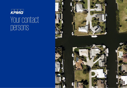# Your contact persons

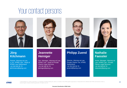### Your contact persons







### **Jörg Kilchmann**

Partner, Attorney-at-Law, LL.M., KPMG Law - Head of KPMG Law Switzerland +41 58 249 35 73 jkilchmann@kpmg.com

### **Jeannette Heiniger**

Sen. Manager, Attorney-at-Law, KPMG Law - Head of Private Clients Legal Services +41 58 249 35 70 jheiniger@kpmg.com

### **Philipp Zuend**

Director, Attorney-at-Law, Private Clients Tax, KPMG **Switzerland** +41 58 249 59 76 pzuend@kpmg.com



### **Nathalie Faessler**

Assist. Manager, Attorney-at-Law, KPMG Law - Private Clients Legal Services +41 58 249 50 70 nfaessler@kpmg.com